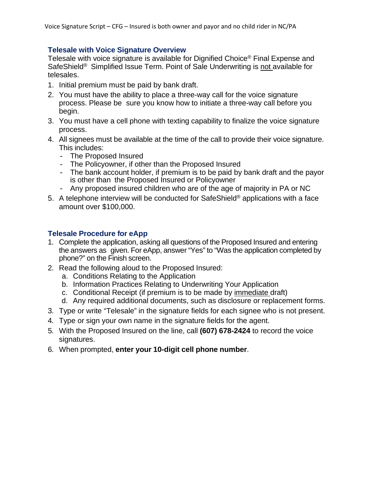# **Telesale with Voice Signature Overview**

Telesale with voice signature is available for Dignified Choice® Final Expense and SafeShield® Simplified Issue Term. Point of Sale Underwriting is not available for telesales.

- 1. Initial premium must be paid by bank draft.
- 2. You must have the ability to place a three-way call for the voice signature process. Please be sure you know how to initiate a three-way call before you begin.
- 3. You must have a cell phone with texting capability to finalize the voice signature process.
- 4. All signees must be available at the time of the call to provide their voice signature. This includes:
	- The Proposed Insured
	- The Policyowner, if other than the Proposed Insured
	- The bank account holder, if premium is to be paid by bank draft and the payor is other than the Proposed Insured or Policyowner
	- Any proposed insured children who are of the age of majority in PA or NC
- 5. A telephone interview will be conducted for SafeShield<sup>®</sup> applications with a face amount over \$100,000.

### **Telesale Procedure for eApp**

- 1. Complete the application, asking all questions of the Proposed Insured and entering the answers as given. For eApp, answer "Yes" to "Was the application completed by phone?" on the Finish screen.
- 2. Read the following aloud to the Proposed Insured:
	- a. Conditions Relating to the Application
	- b. Information Practices Relating to Underwriting Your Application
	- c. Conditional Receipt (if premium is to be made by immediate draft)
	- d. Any required additional documents, such as disclosure or replacement forms.
- 3. Type or write "Telesale" in the signature fields for each signee who is not present.
- 4. Type or sign your own name in the signature fields for the agent.
- 5. With the Proposed Insured on the line, call **(607) 678-2424** to record the voice signatures.
- 6. When prompted, **enter your 10-digit cell phone number**.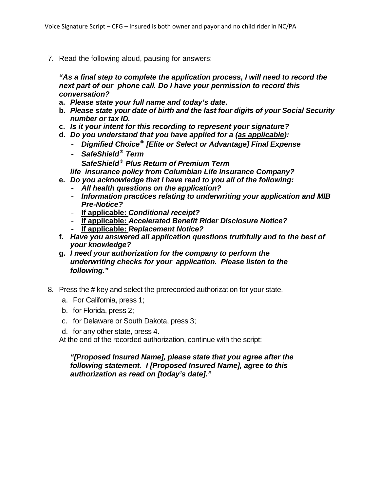7. Read the following aloud, pausing for answers:

*"As a final step to complete the application process, I will need to record the next part of our phone call. Do I have your permission to record this conversation?*

- **a.** *Please state your full name and today's date.*
- **b.** *Please state your date of birth and the last four digits of your Social Security number or tax ID.*
- **c.** *Is it your intent for this recording to represent your signature?*
- **d.** *Do you understand that you have applied for a (as applicable):*
	- *Dignified Choice® [Elite or Select or Advantage] Final Expense*
	- *SafeShield® Term*
	- *SafeShield® Plus Return of Premium Term*
- *life insurance policy from Columbian Life Insurance Company?*
- **e.** *Do you acknowledge that I have read to you all of the following:*
	- *All health questions on the application?*
	- *Information practices relating to underwriting your application and MIB Pre-Notice?*
	- **If applicable:** *Conditional receipt?*
	- **If applicable:** *Accelerated Benefit Rider Disclosure Notice?*
	- **If applicable:** *Replacement Notice?*
- **f.** *Have you answered all application questions truthfully and to the best of your knowledge?*
- **g.** *I need your authorization for the company to perform the underwriting checks for your application. Please listen to the following."*
- 8. Press the # key and select the prerecorded authorization for your state.
	- a. For California, press 1;
	- b. for Florida, press 2;
	- c. for Delaware or South Dakota, press 3;
	- d. for any other state, press 4.

At the end of the recorded authorization, continue with the script:

### *"[Proposed Insured Name], please state that you agree after the following statement. I [Proposed Insured Name], agree to this authorization as read on [today's date]."*